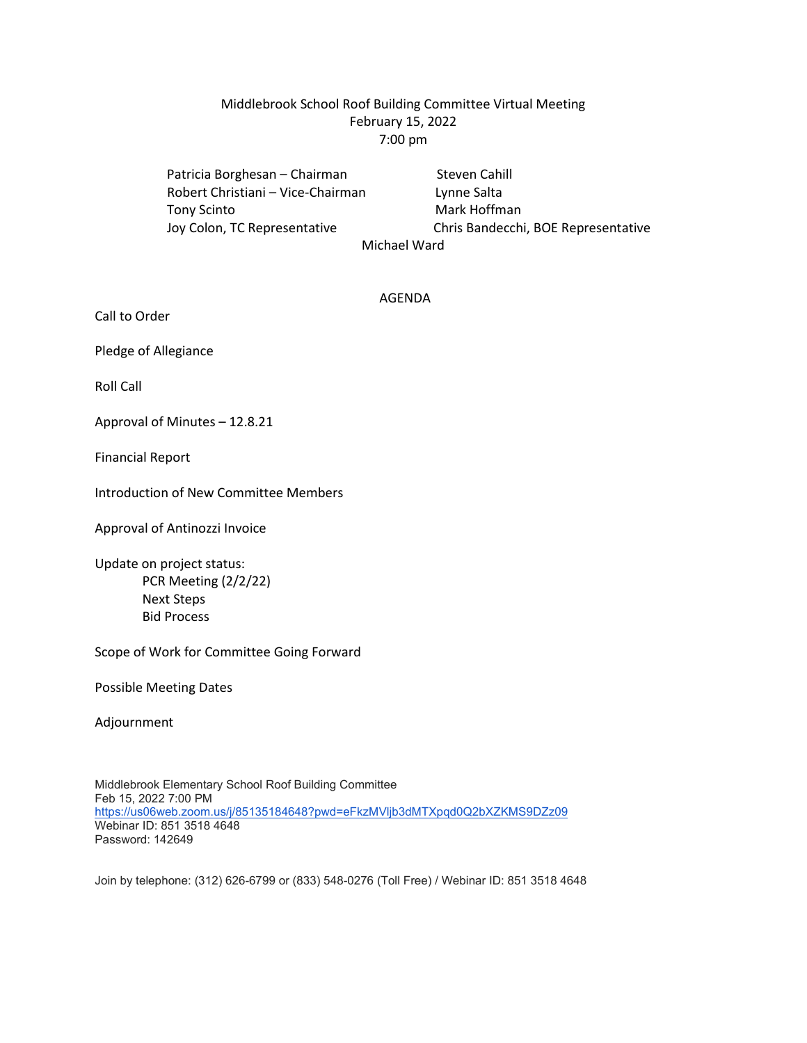## Middlebrook School Roof Building Committee Virtual Meeting February 15, 2022 7:00 pm

Patricia Borghesan – Chairman Steven Cahill Robert Christiani – Vice-Chairman Lynne Salta Tony Scinto **Mark Hoffman** 

 Joy Colon, TC Representative Chris Bandecchi, BOE Representative Michael Ward

#### AGENDA

Call to Order

Pledge of Allegiance

Roll Call

Approval of Minutes – 12.8.21

Financial Report

Introduction of New Committee Members

Approval of Antinozzi Invoice

Update on project status: PCR Meeting (2/2/22) Next Steps Bid Process

Scope of Work for Committee Going Forward

Possible Meeting Dates

Adjournment

Middlebrook Elementary School Roof Building Committee Feb 15, 2022 7:00 PM <https://us06web.zoom.us/j/85135184648?pwd=eFkzMVljb3dMTXpqd0Q2bXZKMS9DZz09> Webinar ID: 851 3518 4648 Password: 142649

Join by telephone: (312) 626-6799 or (833) 548-0276 (Toll Free) / Webinar ID: 851 3518 4648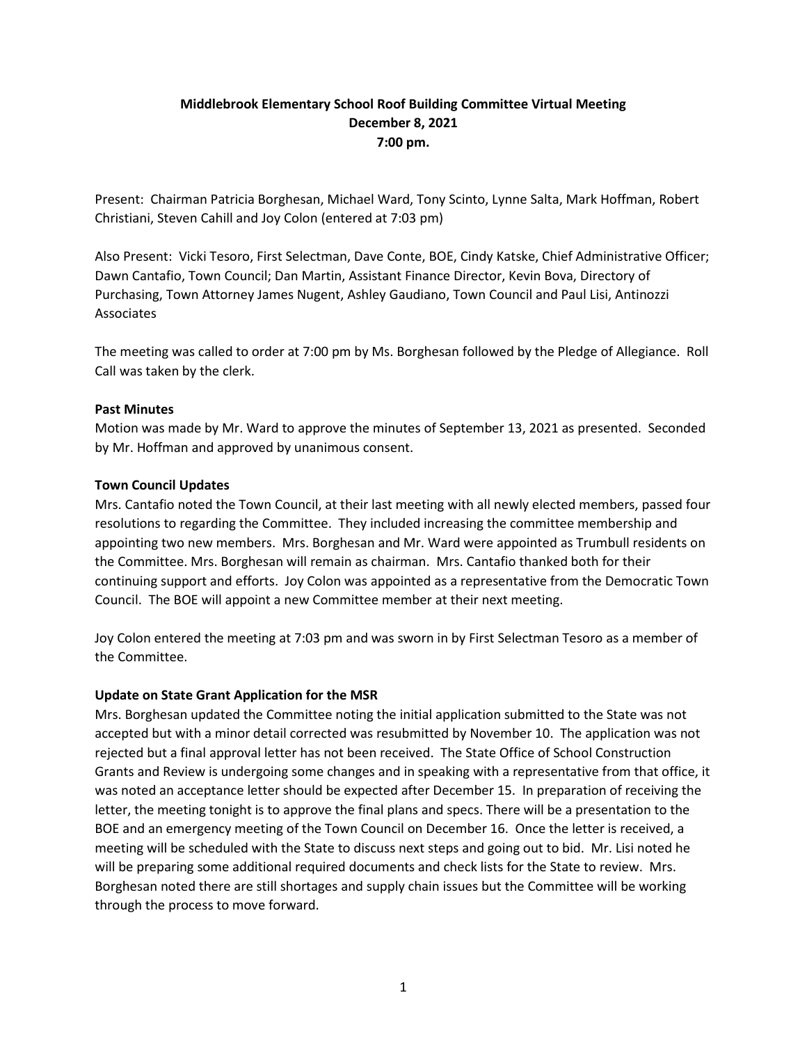## **Middlebrook Elementary School Roof Building Committee Virtual Meeting December 8, 2021 7:00 pm.**

Present: Chairman Patricia Borghesan, Michael Ward, Tony Scinto, Lynne Salta, Mark Hoffman, Robert Christiani, Steven Cahill and Joy Colon (entered at 7:03 pm)

Also Present: Vicki Tesoro, First Selectman, Dave Conte, BOE, Cindy Katske, Chief Administrative Officer; Dawn Cantafio, Town Council; Dan Martin, Assistant Finance Director, Kevin Bova, Directory of Purchasing, Town Attorney James Nugent, Ashley Gaudiano, Town Council and Paul Lisi, Antinozzi Associates

The meeting was called to order at 7:00 pm by Ms. Borghesan followed by the Pledge of Allegiance. Roll Call was taken by the clerk.

### **Past Minutes**

Motion was made by Mr. Ward to approve the minutes of September 13, 2021 as presented. Seconded by Mr. Hoffman and approved by unanimous consent.

## **Town Council Updates**

Mrs. Cantafio noted the Town Council, at their last meeting with all newly elected members, passed four resolutions to regarding the Committee. They included increasing the committee membership and appointing two new members. Mrs. Borghesan and Mr. Ward were appointed as Trumbull residents on the Committee. Mrs. Borghesan will remain as chairman. Mrs. Cantafio thanked both for their continuing support and efforts. Joy Colon was appointed as a representative from the Democratic Town Council. The BOE will appoint a new Committee member at their next meeting.

Joy Colon entered the meeting at 7:03 pm and was sworn in by First Selectman Tesoro as a member of the Committee.

### **Update on State Grant Application for the MSR**

Mrs. Borghesan updated the Committee noting the initial application submitted to the State was not accepted but with a minor detail corrected was resubmitted by November 10. The application was not rejected but a final approval letter has not been received. The State Office of School Construction Grants and Review is undergoing some changes and in speaking with a representative from that office, it was noted an acceptance letter should be expected after December 15. In preparation of receiving the letter, the meeting tonight is to approve the final plans and specs. There will be a presentation to the BOE and an emergency meeting of the Town Council on December 16. Once the letter is received, a meeting will be scheduled with the State to discuss next steps and going out to bid. Mr. Lisi noted he will be preparing some additional required documents and check lists for the State to review. Mrs. Borghesan noted there are still shortages and supply chain issues but the Committee will be working through the process to move forward.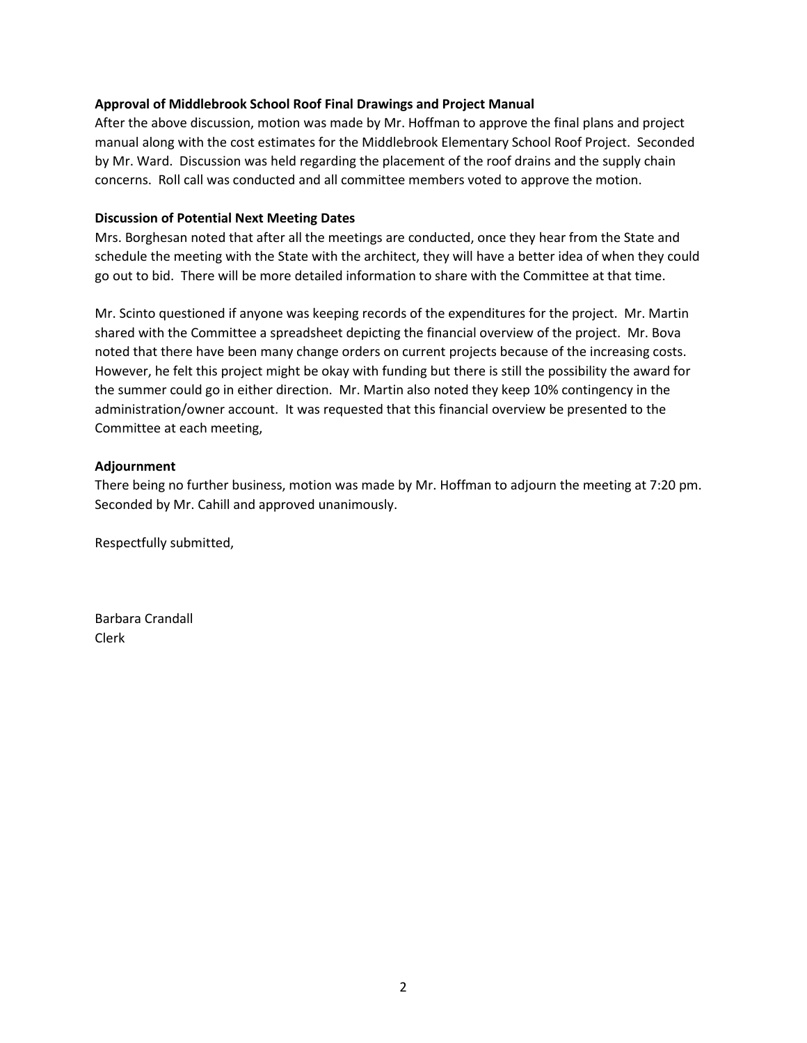### **Approval of Middlebrook School Roof Final Drawings and Project Manual**

After the above discussion, motion was made by Mr. Hoffman to approve the final plans and project manual along with the cost estimates for the Middlebrook Elementary School Roof Project. Seconded by Mr. Ward. Discussion was held regarding the placement of the roof drains and the supply chain concerns. Roll call was conducted and all committee members voted to approve the motion.

### **Discussion of Potential Next Meeting Dates**

Mrs. Borghesan noted that after all the meetings are conducted, once they hear from the State and schedule the meeting with the State with the architect, they will have a better idea of when they could go out to bid. There will be more detailed information to share with the Committee at that time.

Mr. Scinto questioned if anyone was keeping records of the expenditures for the project. Mr. Martin shared with the Committee a spreadsheet depicting the financial overview of the project. Mr. Bova noted that there have been many change orders on current projects because of the increasing costs. However, he felt this project might be okay with funding but there is still the possibility the award for the summer could go in either direction. Mr. Martin also noted they keep 10% contingency in the administration/owner account. It was requested that this financial overview be presented to the Committee at each meeting,

### **Adjournment**

There being no further business, motion was made by Mr. Hoffman to adjourn the meeting at 7:20 pm. Seconded by Mr. Cahill and approved unanimously.

Respectfully submitted,

Barbara Crandall Clerk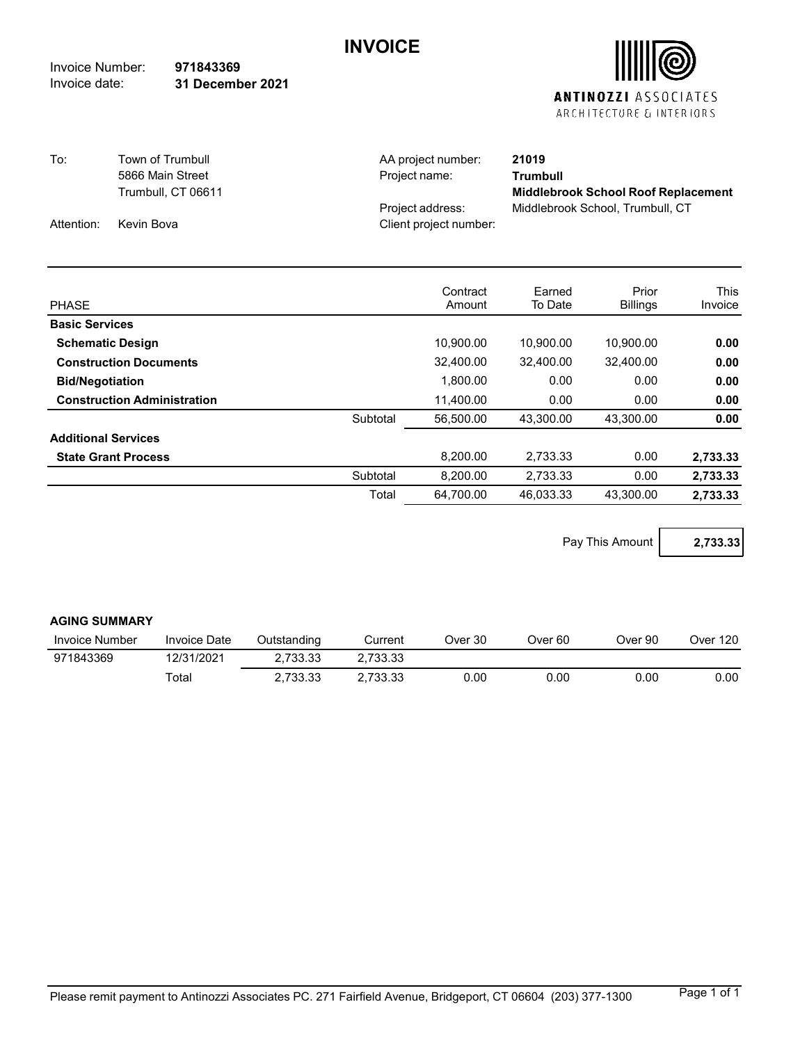## **INVOICE**

Invoice Number: Invoice date: **971843369 31 December 2021**



| To:        | Town of Trumbull   | AA project number:     | 21019                                      |
|------------|--------------------|------------------------|--------------------------------------------|
|            | 5866 Main Street   | Project name:          | Trumbull                                   |
|            | Trumbull, CT 06611 |                        | <b>Middlebrook School Roof Replacement</b> |
|            |                    | Project address:       | Middlebrook School, Trumbull, CT           |
| Attention: | Kevin Bova         | Client project number: |                                            |

| <b>PHASE</b>                       |          | Contract<br>Amount | Earned<br>To Date | Prior<br><b>Billings</b> | <b>This</b><br>Invoice |
|------------------------------------|----------|--------------------|-------------------|--------------------------|------------------------|
| <b>Basic Services</b>              |          |                    |                   |                          |                        |
| <b>Schematic Design</b>            |          | 10,900.00          | 10.900.00         | 10.900.00                | 0.00                   |
| <b>Construction Documents</b>      |          | 32,400.00          | 32.400.00         | 32,400.00                | 0.00                   |
| <b>Bid/Negotiation</b>             |          | 1,800.00           | 0.00              | 0.00                     | 0.00                   |
| <b>Construction Administration</b> |          | 11.400.00          | 0.00              | 0.00                     | 0.00                   |
|                                    | Subtotal | 56.500.00          | 43.300.00         | 43.300.00                | 0.00                   |
| <b>Additional Services</b>         |          |                    |                   |                          |                        |
| <b>State Grant Process</b>         |          | 8.200.00           | 2,733.33          | 0.00                     | 2,733.33               |
|                                    | Subtotal | 8.200.00           | 2.733.33          | 0.00                     | 2.733.33               |
|                                    | Total    | 64.700.00          | 46.033.33         | 43.300.00                | 2.733.33               |

Pay This Amount **2,733.33**

#### **AGING SUMMARY**

| Invoice Number | <b>Invoice Date</b> | Dutstanding | Current  | Over 30 | Over 60 | Over 90 | 120<br>Over |
|----------------|---------------------|-------------|----------|---------|---------|---------|-------------|
| 971843369      | 12/31/2021          | Z.733.33    | 2.733.33 |         |         |         |             |
|                | ⊤otal               | 2.733.33    | 2.733.33 | J.OO    | 0.00    | 0.00    | 0.00        |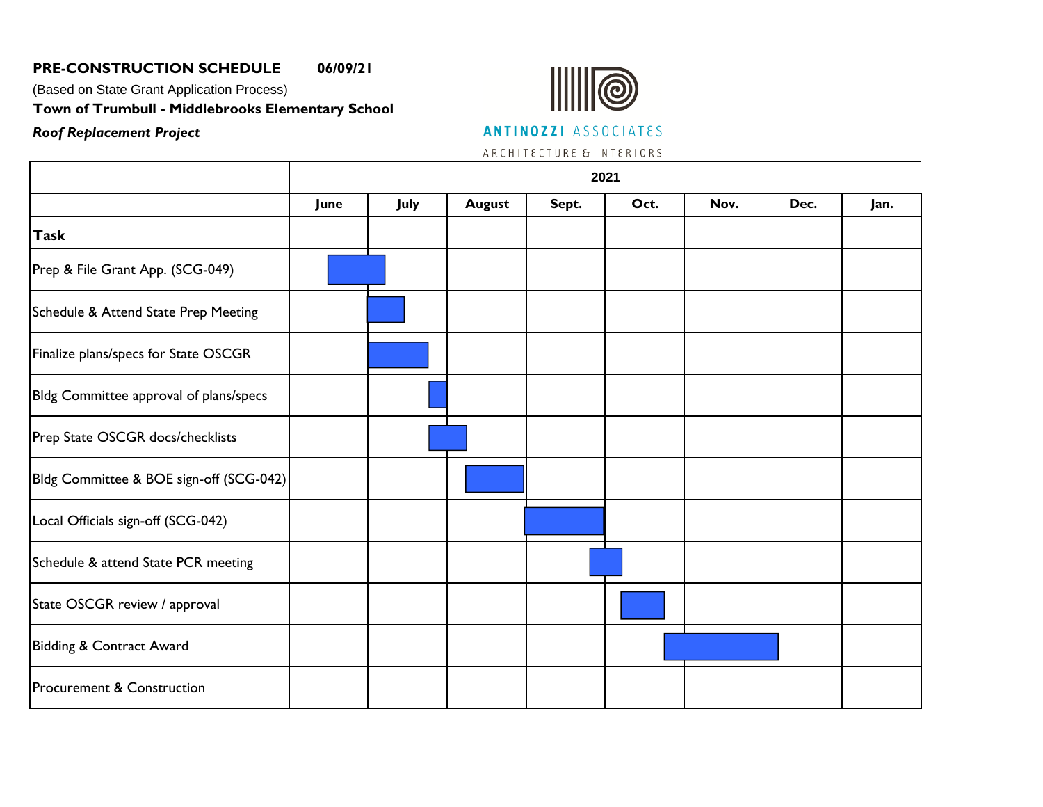# **PRE-CONSTRUCTION SCHEDULE 06/09/21**

*Roof Replacement Project*

(Based on State Grant Application Process)

**Town of Trumbull - Middlebrooks Elementary School**



**ANTINOZZI** ASSOCIATES

ARCH I TECTURE & INTERIORS

|                                         | 2021 |      |               |       |      |      |      |      |
|-----------------------------------------|------|------|---------------|-------|------|------|------|------|
|                                         | June | July | <b>August</b> | Sept. | Oct. | Nov. | Dec. | Jan. |
| <b>Task</b>                             |      |      |               |       |      |      |      |      |
| Prep & File Grant App. (SCG-049)        |      |      |               |       |      |      |      |      |
| Schedule & Attend State Prep Meeting    |      |      |               |       |      |      |      |      |
| Finalize plans/specs for State OSCGR    |      |      |               |       |      |      |      |      |
| Bldg Committee approval of plans/specs  |      |      |               |       |      |      |      |      |
| Prep State OSCGR docs/checklists        |      |      |               |       |      |      |      |      |
| Bldg Committee & BOE sign-off (SCG-042) |      |      |               |       |      |      |      |      |
| Local Officials sign-off (SCG-042)      |      |      |               |       |      |      |      |      |
| Schedule & attend State PCR meeting     |      |      |               |       |      |      |      |      |
| State OSCGR review / approval           |      |      |               |       |      |      |      |      |
| Bidding & Contract Award                |      |      |               |       |      |      |      |      |
| Procurement & Construction              |      |      |               |       |      |      |      |      |